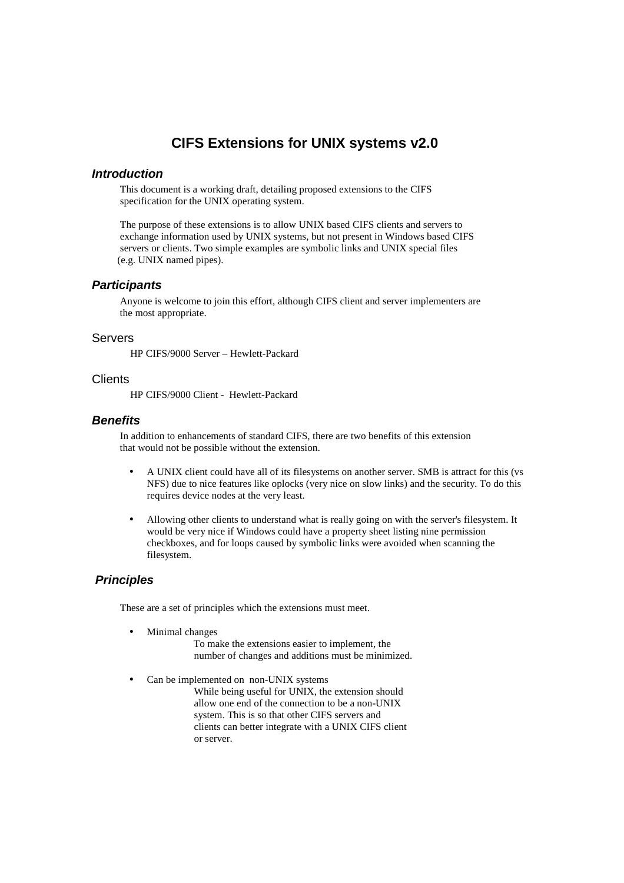## **CIFS Extensions for UNIX systems v2.0**

### **Introduction**

 This document is a working draft, detailing proposed extensions to the CIFS specification for the UNIX operating system.

 The purpose of these extensions is to allow UNIX based CIFS clients and servers to exchange information used by UNIX systems, but not present in Windows based CIFS servers or clients. Two simple examples are symbolic links and UNIX special files (e.g. UNIX named pipes).

#### **Participants**

 Anyone is welcome to join this effort, although CIFS client and server implementers are the most appropriate.

#### Servers

HP CIFS/9000 Server – Hewlett-Packard

#### **Clients**

HP CIFS/9000 Client - Hewlett-Packard

#### **Benefits**

 In addition to enhancements of standard CIFS, there are two benefits of this extension that would not be possible without the extension.

- A UNIX client could have all of its filesystems on another server. SMB is attract for this (vs NFS) due to nice features like oplocks (very nice on slow links) and the security. To do this requires device nodes at the very least.
- Allowing other clients to understand what is really going on with the server's filesystem. It would be very nice if Windows could have a property sheet listing nine permission checkboxes, and for loops caused by symbolic links were avoided when scanning the filesystem.

#### **Principles**

These are a set of principles which the extensions must meet.

- Minimal changes
	- To make the extensions easier to implement, the number of changes and additions must be minimized.
- Can be implemented on non-UNIX systems While being useful for UNIX, the extension should allow one end of the connection to be a non-UNIX system. This is so that other CIFS servers and clients can better integrate with a UNIX CIFS client or server.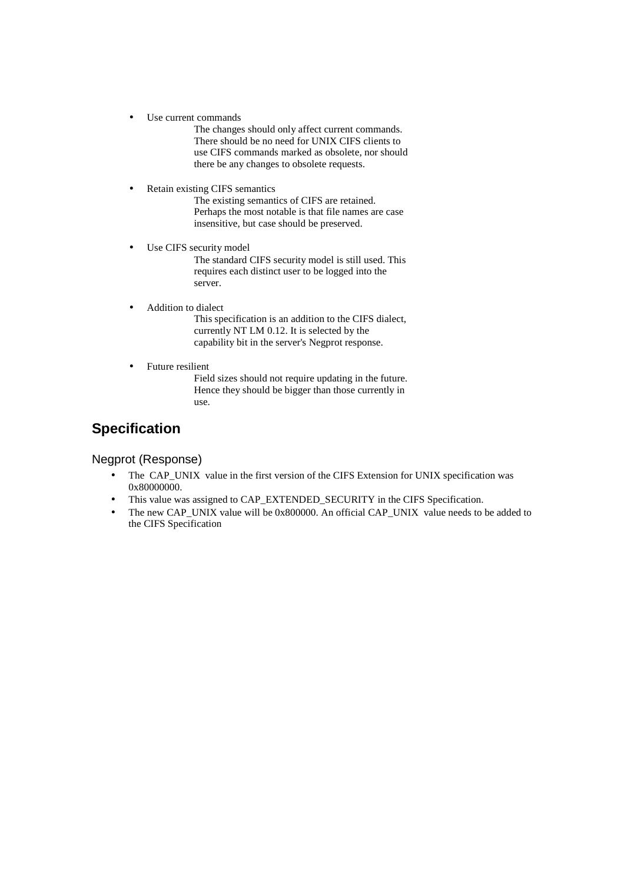- Use current commands
	- The changes should only affect current commands. There should be no need for UNIX CIFS clients to use CIFS commands marked as obsolete, nor should there be any changes to obsolete requests.
- Retain existing CIFS semantics

 The existing semantics of CIFS are retained. Perhaps the most notable is that file names are case insensitive, but case should be preserved.

• Use CIFS security model

 The standard CIFS security model is still used. This requires each distinct user to be logged into the server.

• Addition to dialect

 This specification is an addition to the CIFS dialect, currently NT LM 0.12. It is selected by the capability bit in the server's Negprot response.

Future resilient

 Field sizes should not require updating in the future. Hence they should be bigger than those currently in use.

# **Specification**

Negprot (Response)

- The CAP\_UNIX value in the first version of the CIFS Extension for UNIX specification was 0x80000000.
- This value was assigned to CAP\_EXTENDED\_SECURITY in the CIFS Specification.
- The new CAP\_UNIX value will be 0x800000. An official CAP\_UNIX value needs to be added to the CIFS Specification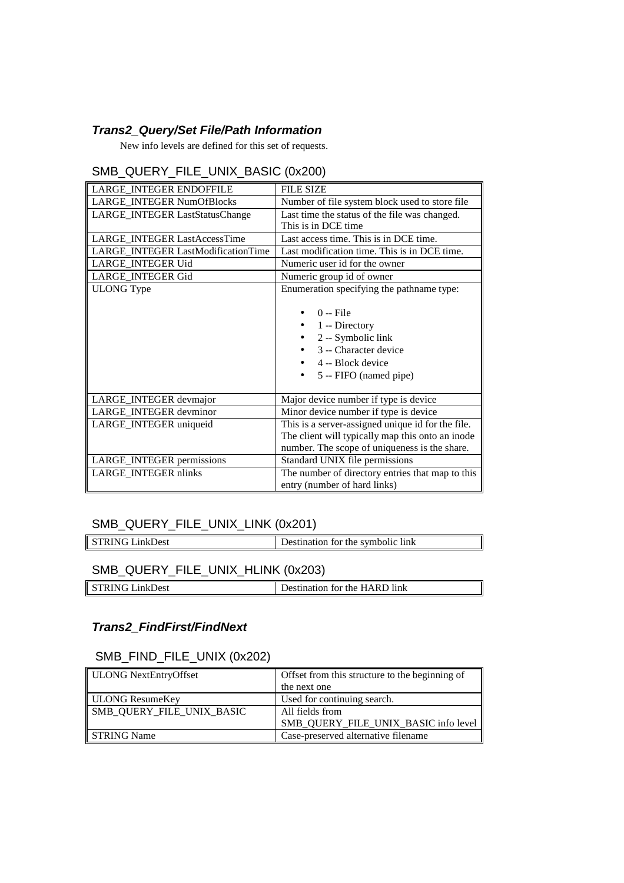### **Trans2\_Query/Set File/Path Information**

New info levels are defined for this set of requests.

## SMB\_QUERY\_FILE\_UNIX\_BASIC (0x200)

| LARGE INTEGER ENDOFFILE                   | <b>FILE SIZE</b>                                                                                                           |
|-------------------------------------------|----------------------------------------------------------------------------------------------------------------------------|
| <b>LARGE INTEGER NumOfBlocks</b>          | Number of file system block used to store file                                                                             |
| LARGE_INTEGER LastStatusChange            | Last time the status of the file was changed.                                                                              |
|                                           | This is in DCE time                                                                                                        |
| LARGE INTEGER LastAccessTime              | Last access time. This is in DCE time.                                                                                     |
| <b>LARGE INTEGER LastModificationTime</b> | Last modification time. This is in DCE time.                                                                               |
| LARGE INTEGER Uid                         | Numeric user id for the owner                                                                                              |
| LARGE_INTEGER Gid                         | Numeric group id of owner                                                                                                  |
| <b>ULONG</b> Type                         | Enumeration specifying the pathname type:                                                                                  |
|                                           | $0 -$ File<br>1 -- Directory<br>2 -- Symbolic link<br>3 -- Character device<br>4 -- Block device<br>5 -- FIFO (named pipe) |
| LARGE_INTEGER devmajor                    | Major device number if type is device                                                                                      |
| LARGE INTEGER devminor                    | Minor device number if type is device                                                                                      |
| LARGE_INTEGER uniqueid                    | This is a server-assigned unique id for the file.                                                                          |
|                                           | The client will typically map this onto an inode                                                                           |
|                                           | number. The scope of uniqueness is the share.                                                                              |
| LARGE_INTEGER permissions                 | Standard UNIX file permissions                                                                                             |
| LARGE_INTEGER nlinks                      | The number of directory entries that map to this                                                                           |
|                                           | entry (number of hard links)                                                                                               |

## SMB\_QUERY\_FILE\_UNIX\_LINK (0x201)

| STRING LinkDest | Destination for the symbolic link |
|-----------------|-----------------------------------|
|                 |                                   |

┃

## SMB\_QUERY\_FILE\_UNIX\_HLINK (0x203)

| )est<br>.<br>1 1 V 1 1 | `link<br>the HAR<br>.<br>†or<br>$^{\prime\prime}$ |
|------------------------|---------------------------------------------------|
|                        |                                                   |

## **Trans2\_FindFirst/FindNext**

### SMB\_FIND\_FILE\_UNIX (0x202)

| ULONG NextEntryOffset     | Offset from this structure to the beginning of |
|---------------------------|------------------------------------------------|
|                           | the next one                                   |
| ULONG ResumeKey           | Used for continuing search.                    |
| SMB QUERY FILE UNIX BASIC | All fields from                                |
|                           | SMB QUERY FILE UNIX BASIC info level           |
| STRING Name               | Case-preserved alternative filename            |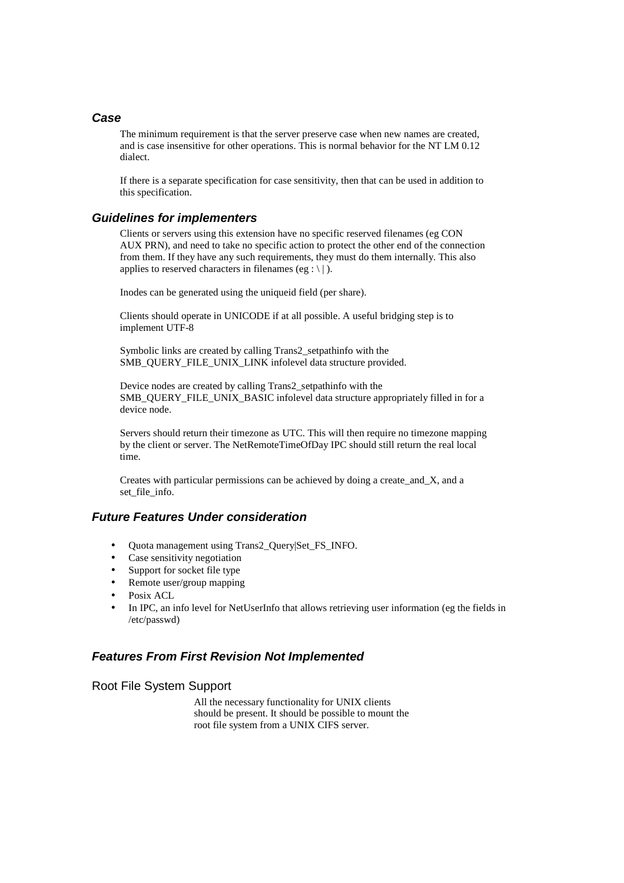#### **Case**

 The minimum requirement is that the server preserve case when new names are created, and is case insensitive for other operations. This is normal behavior for the NT LM 0.12 dialect.

 If there is a separate specification for case sensitivity, then that can be used in addition to this specification.

#### **Guidelines for implementers**

 Clients or servers using this extension have no specific reserved filenames (eg CON AUX PRN), and need to take no specific action to protect the other end of the connection from them. If they have any such requirements, they must do them internally. This also applies to reserved characters in filenames (eg : \ | ).

Inodes can be generated using the uniqueid field (per share).

 Clients should operate in UNICODE if at all possible. A useful bridging step is to implement UTF-8

 Symbolic links are created by calling Trans2\_setpathinfo with the SMB\_QUERY\_FILE\_UNIX\_LINK infolevel data structure provided.

 Device nodes are created by calling Trans2\_setpathinfo with the SMB\_QUERY\_FILE\_UNIX\_BASIC infolevel data structure appropriately filled in for a device node.

 Servers should return their timezone as UTC. This will then require no timezone mapping by the client or server. The NetRemoteTimeOfDay IPC should still return the real local time.

 Creates with particular permissions can be achieved by doing a create\_and\_X, and a set file info.

### **Future Features Under consideration**

- Quota management using Trans2\_Query|Set\_FS\_INFO.
- Case sensitivity negotiation
- Support for socket file type
- Remote user/group mapping
- Posix ACL
- In IPC, an info level for NetUserInfo that allows retrieving user information (eg the fields in /etc/passwd)

#### **Features From First Revision Not Implemented**

Root File System Support

 All the necessary functionality for UNIX clients should be present. It should be possible to mount the root file system from a UNIX CIFS server.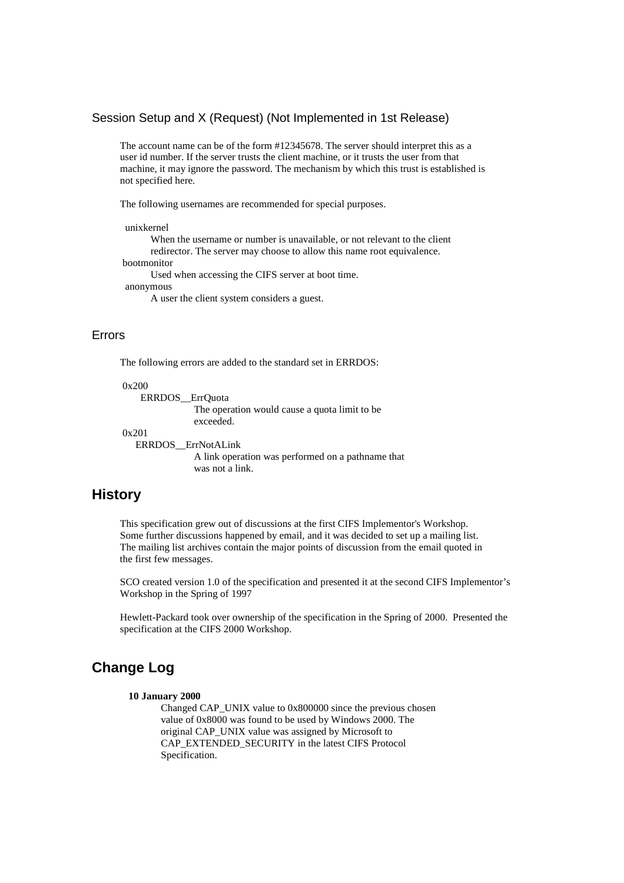#### Session Setup and X (Request) (Not Implemented in 1st Release)

 The account name can be of the form #12345678. The server should interpret this as a user id number. If the server trusts the client machine, or it trusts the user from that machine, it may ignore the password. The mechanism by which this trust is established is not specified here.

The following usernames are recommended for special purposes.

unixkernel

 When the username or number is unavailable, or not relevant to the client redirector. The server may choose to allow this name root equivalence. bootmonitor Used when accessing the CIFS server at boot time. anonymous

A user the client system considers a guest.

#### Errors

The following errors are added to the standard set in ERRDOS:

0x200

 ERRDOS\_\_ErrQuota The operation would cause a quota limit to be exceeded. 0x201 ERRDOS\_\_ErrNotALink A link operation was performed on a pathname that was not a link.

### **History**

 This specification grew out of discussions at the first CIFS Implementor's Workshop. Some further discussions happened by email, and it was decided to set up a mailing list. The mailing list archives contain the major points of discussion from the email quoted in the first few messages.

 SCO created version 1.0 of the specification and presented it at the second CIFS Implementor's Workshop in the Spring of 1997

 Hewlett-Packard took over ownership of the specification in the Spring of 2000. Presented the specification at the CIFS 2000 Workshop.

## **Change Log**

#### **10 January 2000**

 Changed CAP\_UNIX value to 0x800000 since the previous chosen value of 0x8000 was found to be used by Windows 2000. The original CAP\_UNIX value was assigned by Microsoft to CAP\_EXTENDED\_SECURITY in the latest CIFS Protocol Specification.